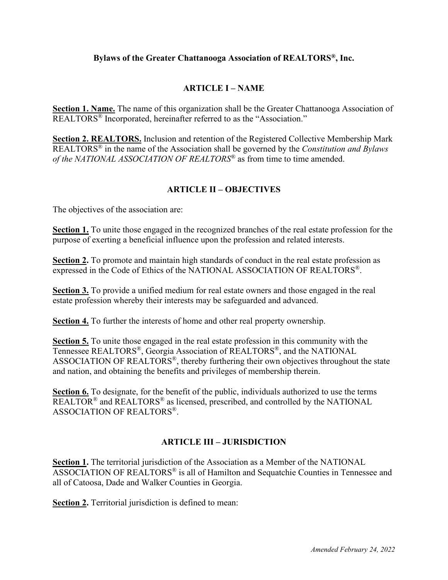### **Bylaws of the Greater Chattanooga Association of REALTORS®, Inc.**

### **ARTICLE I – NAME**

**Section 1. Name.** The name of this organization shall be the Greater Chattanooga Association of REALTORS® Incorporated, hereinafter referred to as the "Association."

**Section 2. REALTORS.** Inclusion and retention of the Registered Collective Membership Mark REALTORS® in the name of the Association shall be governed by the *Constitution and Bylaws of the NATIONAL ASSOCIATION OF REALTORS®* as from time to time amended.

## **ARTICLE II – OBJECTIVES**

The objectives of the association are:

**Section 1.** To unite those engaged in the recognized branches of the real estate profession for the purpose of exerting a beneficial influence upon the profession and related interests.

**Section 2.** To promote and maintain high standards of conduct in the real estate profession as expressed in the Code of Ethics of the NATIONAL ASSOCIATION OF REALTORS®.

**Section 3.** To provide a unified medium for real estate owners and those engaged in the real estate profession whereby their interests may be safeguarded and advanced.

**Section 4.** To further the interests of home and other real property ownership.

**Section 5.** To unite those engaged in the real estate profession in this community with the Tennessee REALTORS®, Georgia Association of REALTORS®, and the NATIONAL ASSOCIATION OF REALTORS®, thereby furthering their own objectives throughout the state and nation, and obtaining the benefits and privileges of membership therein.

**Section 6.** To designate, for the benefit of the public, individuals authorized to use the terms  $\overline{\text{REALTOR}}^{\textcircled{\tiny{\textregistered}}}$  and  $\overline{\text{REALTORS}}^{\textcircled{\tiny{\textregistered}}}$  as licensed, prescribed, and controlled by the NATIONAL ASSOCIATION OF REALTORS®.

### **ARTICLE III – JURISDICTION**

**Section 1.** The territorial jurisdiction of the Association as a Member of the NATIONAL ASSOCIATION OF REALTORS® is all of Hamilton and Sequatchie Counties in Tennessee and all of Catoosa, Dade and Walker Counties in Georgia.

**Section 2.** Territorial jurisdiction is defined to mean: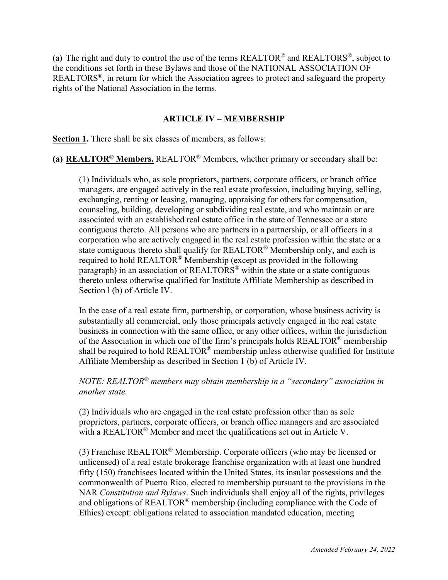(a) The right and duty to control the use of the terms  $REALTOR^{\circledast}$  and  $REALTORS^{\circledast}$ , subject to the conditions set forth in these Bylaws and those of the NATIONAL ASSOCIATION OF REALTORS®, in return for which the Association agrees to protect and safeguard the property rights of the National Association in the terms.

## **ARTICLE IV – MEMBERSHIP**

**Section 1.** There shall be six classes of members, as follows:

**(a) REALTOR® Members.** REALTOR® Members, whether primary or secondary shall be:

(1) Individuals who, as sole proprietors, partners, corporate officers, or branch office managers, are engaged actively in the real estate profession, including buying, selling, exchanging, renting or leasing, managing, appraising for others for compensation, counseling, building, developing or subdividing real estate, and who maintain or are associated with an established real estate office in the state of Tennessee or a state contiguous thereto. All persons who are partners in a partnership, or all officers in a corporation who are actively engaged in the real estate profession within the state or a state contiguous thereto shall qualify for  $REALTOR^{\circledR}$  Membership only, and each is required to hold REALTOR® Membership (except as provided in the following paragraph) in an association of REALTORS<sup>®</sup> within the state or a state contiguous thereto unless otherwise qualified for Institute Affiliate Membership as described in Section l (b) of Article IV.

In the case of a real estate firm, partnership, or corporation, whose business activity is substantially all commercial, only those principals actively engaged in the real estate business in connection with the same office, or any other offices, within the jurisdiction of the Association in which one of the firm's principals holds REALTOR® membership shall be required to hold  $REALTOR^®$  membership unless otherwise qualified for Institute Affiliate Membership as described in Section 1 (b) of Article IV.

### *NOTE: REALTOR® members may obtain membership in a "secondary" association in another state.*

(2) Individuals who are engaged in the real estate profession other than as sole proprietors, partners, corporate officers, or branch office managers and are associated with a REALTOR<sup>®</sup> Member and meet the qualifications set out in Article V.

(3) Franchise REALTOR® Membership. Corporate officers (who may be licensed or unlicensed) of a real estate brokerage franchise organization with at least one hundred fifty (150) franchisees located within the United States, its insular possessions and the commonwealth of Puerto Rico, elected to membership pursuant to the provisions in the NAR *Constitution and Bylaws*. Such individuals shall enjoy all of the rights, privileges and obligations of REALTOR<sup>®</sup> membership (including compliance with the Code of Ethics) except: obligations related to association mandated education, meeting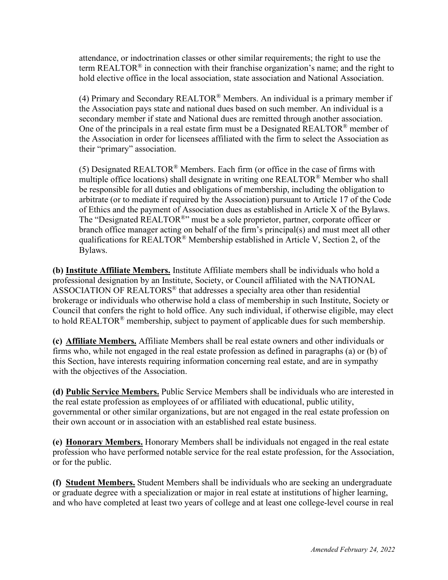attendance, or indoctrination classes or other similar requirements; the right to use the term REALTOR<sup>®</sup> in connection with their franchise organization's name; and the right to hold elective office in the local association, state association and National Association.

(4) Primary and Secondary REALTOR<sup>®</sup> Members. An individual is a primary member if the Association pays state and national dues based on such member. An individual is a secondary member if state and National dues are remitted through another association. One of the principals in a real estate firm must be a Designated REALTOR<sup>®</sup> member of the Association in order for licensees affiliated with the firm to select the Association as their "primary" association.

(5) Designated REALTOR<sup>®</sup> Members. Each firm (or office in the case of firms with multiple office locations) shall designate in writing one REALTOR® Member who shall be responsible for all duties and obligations of membership, including the obligation to arbitrate (or to mediate if required by the Association) pursuant to Article 17 of the Code of Ethics and the payment of Association dues as established in Article X of the Bylaws. The "Designated REALTOR<sup>®</sup>" must be a sole proprietor, partner, corporate officer or branch office manager acting on behalf of the firm's principal(s) and must meet all other qualifications for REALTOR<sup>®</sup> Membership established in Article V, Section 2, of the Bylaws.

**(b) Institute Affiliate Members.** Institute Affiliate members shall be individuals who hold a professional designation by an Institute, Society, or Council affiliated with the NATIONAL ASSOCIATION OF REALTORS® that addresses a specialty area other than residential brokerage or individuals who otherwise hold a class of membership in such Institute, Society or Council that confers the right to hold office. Any such individual, if otherwise eligible, may elect to hold REALTOR® membership, subject to payment of applicable dues for such membership.

**(c) Affiliate Members.** Affiliate Members shall be real estate owners and other individuals or firms who, while not engaged in the real estate profession as defined in paragraphs (a) or (b) of this Section, have interests requiring information concerning real estate, and are in sympathy with the objectives of the Association.

**(d) Public Service Members.** Public Service Members shall be individuals who are interested in the real estate profession as employees of or affiliated with educational, public utility, governmental or other similar organizations, but are not engaged in the real estate profession on their own account or in association with an established real estate business.

**(e) Honorary Members.** Honorary Members shall be individuals not engaged in the real estate profession who have performed notable service for the real estate profession, for the Association, or for the public.

**(f) Student Members.** Student Members shall be individuals who are seeking an undergraduate or graduate degree with a specialization or major in real estate at institutions of higher learning, and who have completed at least two years of college and at least one college-level course in real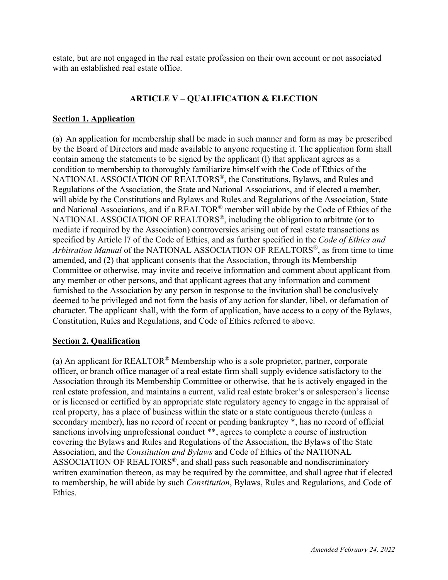estate, but are not engaged in the real estate profession on their own account or not associated with an established real estate office.

### **ARTICLE V – QUALIFICATION & ELECTION**

### **Section 1. Application**

(a) An application for membership shall be made in such manner and form as may be prescribed by the Board of Directors and made available to anyone requesting it. The application form shall contain among the statements to be signed by the applicant (l) that applicant agrees as a condition to membership to thoroughly familiarize himself with the Code of Ethics of the NATIONAL ASSOCIATION OF REALTORS®, the Constitutions, Bylaws, and Rules and Regulations of the Association, the State and National Associations, and if elected a member, will abide by the Constitutions and Bylaws and Rules and Regulations of the Association, State and National Associations, and if a REALTOR® member will abide by the Code of Ethics of the NATIONAL ASSOCIATION OF REALTORS®, including the obligation to arbitrate (or to mediate if required by the Association) controversies arising out of real estate transactions as specified by Article l7 of the Code of Ethics, and as further specified in the *Code of Ethics and Arbitration Manual* of the NATIONAL ASSOCIATION OF REALTORS®, as from time to time amended, and (2) that applicant consents that the Association, through its Membership Committee or otherwise, may invite and receive information and comment about applicant from any member or other persons, and that applicant agrees that any information and comment furnished to the Association by any person in response to the invitation shall be conclusively deemed to be privileged and not form the basis of any action for slander, libel, or defamation of character. The applicant shall, with the form of application, have access to a copy of the Bylaws, Constitution, Rules and Regulations, and Code of Ethics referred to above.

### **Section 2. Qualification**

(a) An applicant for REALTOR® Membership who is a sole proprietor, partner, corporate officer, or branch office manager of a real estate firm shall supply evidence satisfactory to the Association through its Membership Committee or otherwise, that he is actively engaged in the real estate profession, and maintains a current, valid real estate broker's or salesperson's license or is licensed or certified by an appropriate state regulatory agency to engage in the appraisal of real property, has a place of business within the state or a state contiguous thereto (unless a secondary member), has no record of recent or pending bankruptcy \*, has no record of official sanctions involving unprofessional conduct \*\*, agrees to complete a course of instruction covering the Bylaws and Rules and Regulations of the Association, the Bylaws of the State Association, and the *Constitution and Bylaws* and Code of Ethics of the NATIONAL ASSOCIATION OF REALTORS®, and shall pass such reasonable and nondiscriminatory written examination thereon, as may be required by the committee, and shall agree that if elected to membership, he will abide by such *Constitution*, Bylaws, Rules and Regulations, and Code of Ethics.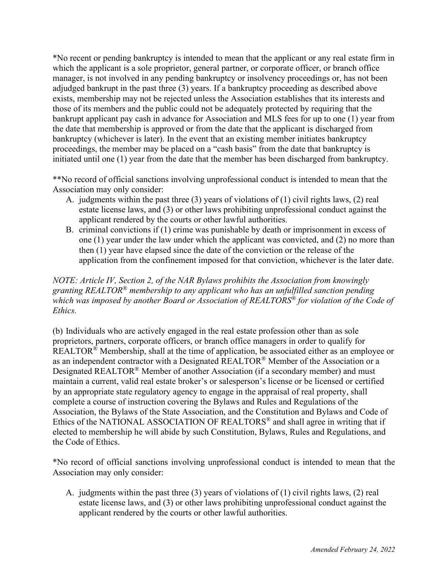\*No recent or pending bankruptcy is intended to mean that the applicant or any real estate firm in which the applicant is a sole proprietor, general partner, or corporate officer, or branch office manager, is not involved in any pending bankruptcy or insolvency proceedings or, has not been adjudged bankrupt in the past three (3) years. If a bankruptcy proceeding as described above exists, membership may not be rejected unless the Association establishes that its interests and those of its members and the public could not be adequately protected by requiring that the bankrupt applicant pay cash in advance for Association and MLS fees for up to one (1) year from the date that membership is approved or from the date that the applicant is discharged from bankruptcy (whichever is later). In the event that an existing member initiates bankruptcy proceedings, the member may be placed on a "cash basis" from the date that bankruptcy is initiated until one (1) year from the date that the member has been discharged from bankruptcy.

\*\*No record of official sanctions involving unprofessional conduct is intended to mean that the Association may only consider:

- A. judgments within the past three (3) years of violations of (1) civil rights laws, (2) real estate license laws, and (3) or other laws prohibiting unprofessional conduct against the applicant rendered by the courts or other lawful authorities.
- B. criminal convictions if (1) crime was punishable by death or imprisonment in excess of one (1) year under the law under which the applicant was convicted, and (2) no more than then (1) year have elapsed since the date of the conviction or the release of the application from the confinement imposed for that conviction, whichever is the later date.

*NOTE: Article IV, Section 2, of the NAR Bylaws prohibits the Association from knowingly granting REALTOR® membership to any applicant who has an unfulfilled sanction pending which was imposed by another Board or Association of REALTORS® for violation of the Code of Ethics.* 

(b) Individuals who are actively engaged in the real estate profession other than as sole proprietors, partners, corporate officers, or branch office managers in order to qualify for REALTOR<sup>®</sup> Membership, shall at the time of application, be associated either as an employee or as an independent contractor with a Designated REALTOR® Member of the Association or a Designated REALTOR® Member of another Association (if a secondary member) and must maintain a current, valid real estate broker's or salesperson's license or be licensed or certified by an appropriate state regulatory agency to engage in the appraisal of real property, shall complete a course of instruction covering the Bylaws and Rules and Regulations of the Association, the Bylaws of the State Association, and the Constitution and Bylaws and Code of Ethics of the NATIONAL ASSOCIATION OF REALTORS<sup>®</sup> and shall agree in writing that if elected to membership he will abide by such Constitution, Bylaws, Rules and Regulations, and the Code of Ethics.

\*No record of official sanctions involving unprofessional conduct is intended to mean that the Association may only consider:

A. judgments within the past three (3) years of violations of (1) civil rights laws, (2) real estate license laws, and (3) or other laws prohibiting unprofessional conduct against the applicant rendered by the courts or other lawful authorities.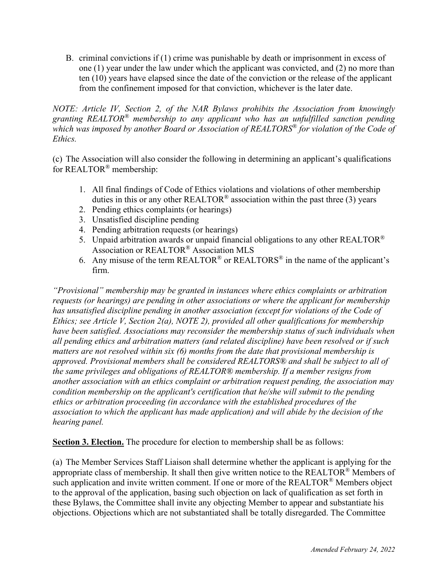B. criminal convictions if (1) crime was punishable by death or imprisonment in excess of one (1) year under the law under which the applicant was convicted, and (2) no more than ten (10) years have elapsed since the date of the conviction or the release of the applicant from the confinement imposed for that conviction, whichever is the later date.

*NOTE: Article IV, Section 2, of the NAR Bylaws prohibits the Association from knowingly granting REALTOR® membership to any applicant who has an unfulfilled sanction pending which was imposed by another Board or Association of REALTORS® for violation of the Code of Ethics.* 

(c) The Association will also consider the following in determining an applicant's qualifications for REALTOR® membership:

- 1. All final findings of Code of Ethics violations and violations of other membership duties in this or any other REALTOR<sup>®</sup> association within the past three (3) years
- 2. Pending ethics complaints (or hearings)
- 3. Unsatisfied discipline pending
- 4. Pending arbitration requests (or hearings)
- 5. Unpaid arbitration awards or unpaid financial obligations to any other REALTOR<sup>®</sup> Association or REALTOR® Association MLS
- 6. Any misuse of the term REALTOR<sup>®</sup> or REALTORS<sup>®</sup> in the name of the applicant's firm.

*"Provisional" membership may be granted in instances where ethics complaints or arbitration requests (or hearings) are pending in other associations or where the applicant for membership has unsatisfied discipline pending in another association (except for violations of the Code of Ethics; see Article V, Section 2(a), NOTE 2), provided all other qualifications for membership have been satisfied. Associations may reconsider the membership status of such individuals when all pending ethics and arbitration matters (and related discipline) have been resolved or if such matters are not resolved within six (6) months from the date that provisional membership is approved. Provisional members shall be considered REALTORS® and shall be subject to all of the same privileges and obligations of REALTOR® membership. If a member resigns from another association with an ethics complaint or arbitration request pending, the association may condition membership on the applicant's certification that he/she will submit to the pending ethics or arbitration proceeding (in accordance with the established procedures of the association to which the applicant has made application) and will abide by the decision of the hearing panel.* 

**Section 3. Election.** The procedure for election to membership shall be as follows:

(a) The Member Services Staff Liaison shall determine whether the applicant is applying for the appropriate class of membership. It shall then give written notice to the REALTOR® Members of such application and invite written comment. If one or more of the REALTOR<sup>®</sup> Members object to the approval of the application, basing such objection on lack of qualification as set forth in these Bylaws, the Committee shall invite any objecting Member to appear and substantiate his objections. Objections which are not substantiated shall be totally disregarded. The Committee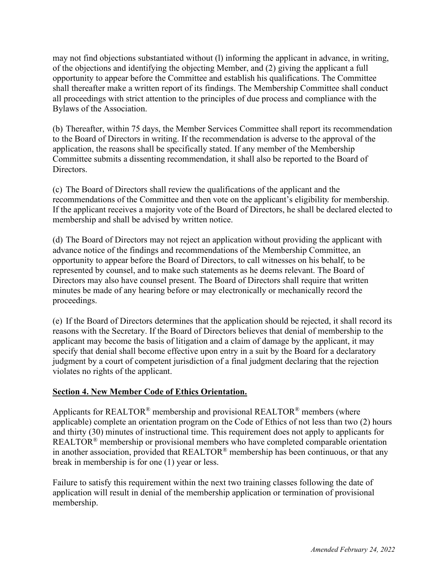may not find objections substantiated without (l) informing the applicant in advance, in writing, of the objections and identifying the objecting Member, and (2) giving the applicant a full opportunity to appear before the Committee and establish his qualifications. The Committee shall thereafter make a written report of its findings. The Membership Committee shall conduct all proceedings with strict attention to the principles of due process and compliance with the Bylaws of the Association.

(b) Thereafter, within 75 days, the Member Services Committee shall report its recommendation to the Board of Directors in writing. If the recommendation is adverse to the approval of the application, the reasons shall be specifically stated. If any member of the Membership Committee submits a dissenting recommendation, it shall also be reported to the Board of Directors.

(c) The Board of Directors shall review the qualifications of the applicant and the recommendations of the Committee and then vote on the applicant's eligibility for membership. If the applicant receives a majority vote of the Board of Directors, he shall be declared elected to membership and shall be advised by written notice.

(d) The Board of Directors may not reject an application without providing the applicant with advance notice of the findings and recommendations of the Membership Committee, an opportunity to appear before the Board of Directors, to call witnesses on his behalf, to be represented by counsel, and to make such statements as he deems relevant. The Board of Directors may also have counsel present. The Board of Directors shall require that written minutes be made of any hearing before or may electronically or mechanically record the proceedings.

(e) If the Board of Directors determines that the application should be rejected, it shall record its reasons with the Secretary. If the Board of Directors believes that denial of membership to the applicant may become the basis of litigation and a claim of damage by the applicant, it may specify that denial shall become effective upon entry in a suit by the Board for a declaratory judgment by a court of competent jurisdiction of a final judgment declaring that the rejection violates no rights of the applicant.

## **Section 4. New Member Code of Ethics Orientation.**

Applicants for REALTOR<sup>®</sup> membership and provisional REALTOR<sup>®</sup> members (where applicable) complete an orientation program on the Code of Ethics of not less than two (2) hours and thirty (30) minutes of instructional time. This requirement does not apply to applicants for REALTOR® membership or provisional members who have completed comparable orientation in another association, provided that REALTOR® membership has been continuous, or that any break in membership is for one (1) year or less.

Failure to satisfy this requirement within the next two training classes following the date of application will result in denial of the membership application or termination of provisional membership.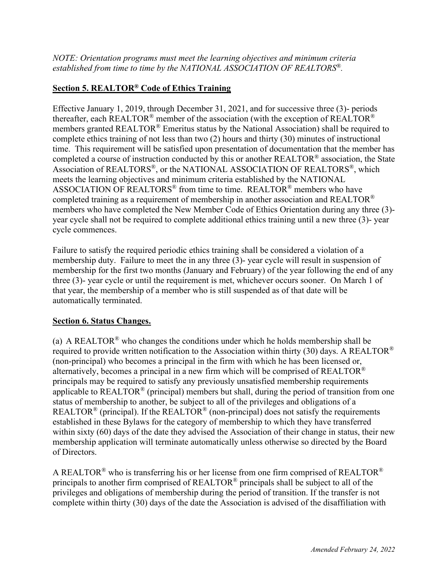*NOTE: Orientation programs must meet the learning objectives and minimum criteria established from time to time by the NATIONAL ASSOCIATION OF REALTORS®.* 

# **Section 5. REALTOR® Code of Ethics Training**

Effective January 1, 2019, through December 31, 2021, and for successive three (3)- periods thereafter, each REALTOR<sup>®</sup> member of the association (with the exception of REALTOR<sup>®</sup> members granted REALTOR® Emeritus status by the National Association) shall be required to complete ethics training of not less than two (2) hours and thirty (30) minutes of instructional time. This requirement will be satisfied upon presentation of documentation that the member has completed a course of instruction conducted by this or another REALTOR® association, the State Association of REALTORS®, or the NATIONAL ASSOCIATION OF REALTORS®, which meets the learning objectives and minimum criteria established by the NATIONAL ASSOCIATION OF REALTORS® from time to time. REALTOR® members who have completed training as a requirement of membership in another association and REALTOR® members who have completed the New Member Code of Ethics Orientation during any three (3) year cycle shall not be required to complete additional ethics training until a new three (3)- year cycle commences.

Failure to satisfy the required periodic ethics training shall be considered a violation of a membership duty. Failure to meet the in any three (3)- year cycle will result in suspension of membership for the first two months (January and February) of the year following the end of any three (3)- year cycle or until the requirement is met, whichever occurs sooner. On March 1 of that year, the membership of a member who is still suspended as of that date will be automatically terminated.

## **Section 6. Status Changes.**

(a) A REALTOR<sup>®</sup> who changes the conditions under which he holds membership shall be required to provide written notification to the Association within thirty (30) days. A REALTOR<sup>®</sup> (non-principal) who becomes a principal in the firm with which he has been licensed or, alternatively, becomes a principal in a new firm which will be comprised of REALTOR<sup>®</sup> principals may be required to satisfy any previously unsatisfied membership requirements applicable to REALTOR<sup>®</sup> (principal) members but shall, during the period of transition from one status of membership to another, be subject to all of the privileges and obligations of a REALTOR<sup>®</sup> (principal). If the REALTOR<sup>®</sup> (non-principal) does not satisfy the requirements established in these Bylaws for the category of membership to which they have transferred within sixty (60) days of the date they advised the Association of their change in status, their new membership application will terminate automatically unless otherwise so directed by the Board of Directors.

A REALTOR<sup>®</sup> who is transferring his or her license from one firm comprised of REALTOR<sup>®</sup> principals to another firm comprised of REALTOR® principals shall be subject to all of the privileges and obligations of membership during the period of transition. If the transfer is not complete within thirty (30) days of the date the Association is advised of the disaffiliation with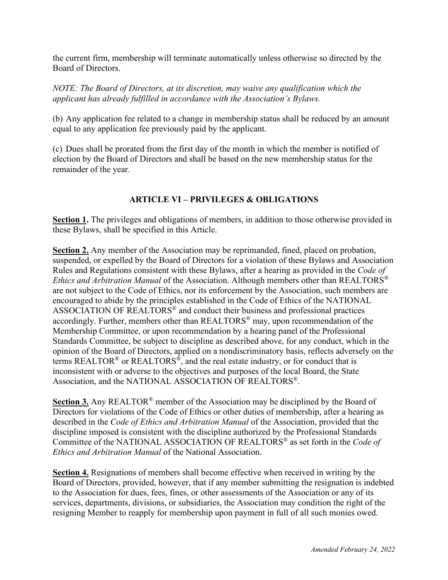the current firm, membership will terminate automatically unless otherwise so directed by the Board of Directors.

*NOTE: The Board of Directors, at its discretion, may waive any qualification which the applicant has already fulfilled in accordance with the Association's Bylaws.*

(b) Any application fee related to a change in membership status shall be reduced by an amount equal to any application fee previously paid by the applicant.

(c) Dues shall be prorated from the first day of the month in which the member is notified of election by the Board of Directors and shall be based on the new membership status for the remainder of the year.

# **ARTICLE VI – PRIVILEGES & OBLIGATIONS**

**Section 1.** The privileges and obligations of members, in addition to those otherwise provided in these Bylaws, shall be specified in this Article.

**Section 2.** Any member of the Association may be reprimanded, fined, placed on probation, suspended, or expelled by the Board of Directors for a violation of these Bylaws and Association Rules and Regulations consistent with these Bylaws, after a hearing as provided in the *Code of Ethics and Arbitration Manual* of the Association. Although members other than REALTORS® are not subject to the Code of Ethics, nor its enforcement by the Association, such members are encouraged to abide by the principles established in the Code of Ethics of the NATIONAL ASSOCIATION OF REALTORS® and conduct their business and professional practices accordingly. Further, members other than REALTORS® may, upon recommendation of the Membership Committee, or upon recommendation by a hearing panel of the Professional Standards Committee, be subject to discipline as described above, for any conduct, which in the opinion of the Board of Directors, applied on a nondiscriminatory basis, reflects adversely on the terms REALTOR<sup>®</sup> or REALTORS<sup>®</sup>, and the real estate industry, or for conduct that is inconsistent with or adverse to the objectives and purposes of the local Board, the State Association, and the NATIONAL ASSOCIATION OF REALTORS®.

**Section 3.** Any REALTOR® member of the Association may be disciplined by the Board of Directors for violations of the Code of Ethics or other duties of membership, after a hearing as described in the *Code of Ethics and Arbitration Manual* of the Association, provided that the discipline imposed is consistent with the discipline authorized by the Professional Standards Committee of the NATIONAL ASSOCIATION OF REALTORS® as set forth in the *Code of Ethics and Arbitration Manual* of the National Association.

**Section 4.** Resignations of members shall become effective when received in writing by the Board of Directors, provided, however, that if any member submitting the resignation is indebted to the Association for dues, fees, fines, or other assessments of the Association or any of its services, departments, divisions, or subsidiaries, the Association may condition the right of the resigning Member to reapply for membership upon payment in full of all such monies owed.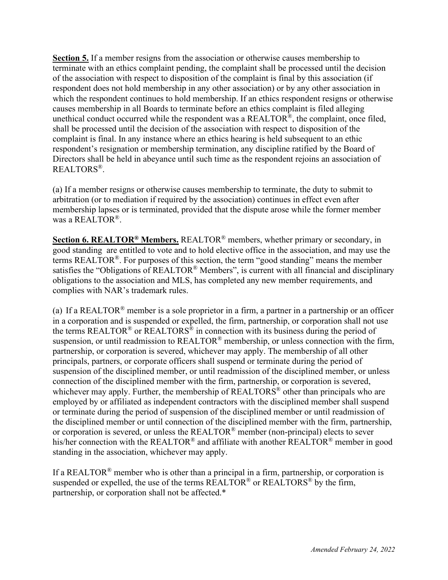**Section 5.** If a member resigns from the association or otherwise causes membership to terminate with an ethics complaint pending, the complaint shall be processed until the decision of the association with respect to disposition of the complaint is final by this association (if respondent does not hold membership in any other association) or by any other association in which the respondent continues to hold membership. If an ethics respondent resigns or otherwise causes membership in all Boards to terminate before an ethics complaint is filed alleging unethical conduct occurred while the respondent was a  $REALTOR^{\mathcal{B}}$ , the complaint, once filed, shall be processed until the decision of the association with respect to disposition of the complaint is final. In any instance where an ethics hearing is held subsequent to an ethic respondent's resignation or membership termination, any discipline ratified by the Board of Directors shall be held in abeyance until such time as the respondent rejoins an association of REALTORS®.

(a) If a member resigns or otherwise causes membership to terminate, the duty to submit to arbitration (or to mediation if required by the association) continues in effect even after membership lapses or is terminated, provided that the dispute arose while the former member was a REALTOR®.

**Section 6. REALTOR® Members.** REALTOR® members, whether primary or secondary, in good standing are entitled to vote and to hold elective office in the association, and may use the terms REALTOR®. For purposes of this section, the term "good standing" means the member satisfies the "Obligations of REALTOR® Members", is current with all financial and disciplinary obligations to the association and MLS, has completed any new member requirements, and complies with NAR's trademark rules.

(a) If a REALTOR® member is a sole proprietor in a firm, a partner in a partnership or an officer in a corporation and is suspended or expelled, the firm, partnership, or corporation shall not use the terms REALTOR<sup>®</sup> or REALTORS<sup>®</sup> in connection with its business during the period of suspension, or until readmission to REALTOR<sup>®</sup> membership, or unless connection with the firm, partnership, or corporation is severed, whichever may apply. The membership of all other principals, partners, or corporate officers shall suspend or terminate during the period of suspension of the disciplined member, or until readmission of the disciplined member, or unless connection of the disciplined member with the firm, partnership, or corporation is severed, whichever may apply. Further, the membership of REALTORS<sup>®</sup> other than principals who are employed by or affiliated as independent contractors with the disciplined member shall suspend or terminate during the period of suspension of the disciplined member or until readmission of the disciplined member or until connection of the disciplined member with the firm, partnership, or corporation is severed, or unless the REALTOR® member (non-principal) elects to sever his/her connection with the REALTOR<sup>®</sup> and affiliate with another REALTOR<sup>®</sup> member in good standing in the association, whichever may apply.

If a REALTOR<sup>®</sup> member who is other than a principal in a firm, partnership, or corporation is suspended or expelled, the use of the terms REALTOR<sup>®</sup> or REALTORS<sup>®</sup> by the firm, partnership, or corporation shall not be affected.\*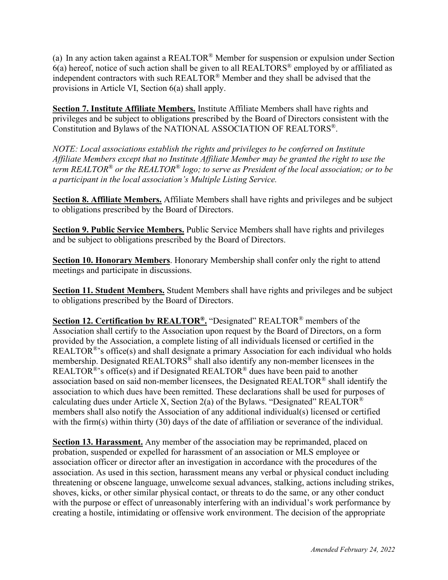(a) In any action taken against a REALTOR® Member for suspension or expulsion under Section  $6(a)$  hereof, notice of such action shall be given to all REALTORS<sup>®</sup> employed by or affiliated as independent contractors with such REALTOR® Member and they shall be advised that the provisions in Article VI, Section 6(a) shall apply.

**Section 7. Institute Affiliate Members.** Institute Affiliate Members shall have rights and privileges and be subject to obligations prescribed by the Board of Directors consistent with the Constitution and Bylaws of the NATIONAL ASSOCIATION OF REALTORS®.

*NOTE: Local associations establish the rights and privileges to be conferred on Institute Affiliate Members except that no Institute Affiliate Member may be granted the right to use the term REALTOR® or the REALTOR® logo; to serve as President of the local association; or to be a participant in the local association's Multiple Listing Service.*

**Section 8. Affiliate Members.** Affiliate Members shall have rights and privileges and be subject to obligations prescribed by the Board of Directors.

**Section 9. Public Service Members.** Public Service Members shall have rights and privileges and be subject to obligations prescribed by the Board of Directors.

**Section 10. Honorary Members**. Honorary Membership shall confer only the right to attend meetings and participate in discussions.

**Section 11. Student Members.** Student Members shall have rights and privileges and be subject to obligations prescribed by the Board of Directors.

**Section 12. Certification by REALTOR®.** "Designated" REALTOR® members of the Association shall certify to the Association upon request by the Board of Directors, on a form provided by the Association, a complete listing of all individuals licensed or certified in the REALTOR<sup>®</sup>'s office(s) and shall designate a primary Association for each individual who holds membership. Designated REALTORS® shall also identify any non-member licensees in the REALTOR<sup>®</sup>'s office(s) and if Designated REALTOR<sup>®</sup> dues have been paid to another association based on said non-member licensees, the Designated REALTOR® shall identify the association to which dues have been remitted. These declarations shall be used for purposes of calculating dues under Article X, Section 2(a) of the Bylaws. "Designated" REALTOR<sup>®</sup> members shall also notify the Association of any additional individual(s) licensed or certified with the firm(s) within thirty (30) days of the date of affiliation or severance of the individual.

**Section 13. Harassment.** Any member of the association may be reprimanded, placed on probation, suspended or expelled for harassment of an association or MLS employee or association officer or director after an investigation in accordance with the procedures of the association. As used in this section, harassment means any verbal or physical conduct including threatening or obscene language, unwelcome sexual advances, stalking, actions including strikes, shoves, kicks, or other similar physical contact, or threats to do the same, or any other conduct with the purpose or effect of unreasonably interfering with an individual's work performance by creating a hostile, intimidating or offensive work environment. The decision of the appropriate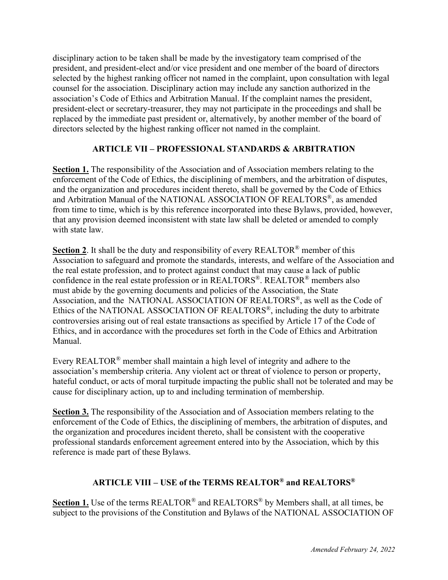disciplinary action to be taken shall be made by the investigatory team comprised of the president, and president-elect and/or vice president and one member of the board of directors selected by the highest ranking officer not named in the complaint, upon consultation with legal counsel for the association. Disciplinary action may include any sanction authorized in the association's Code of Ethics and Arbitration Manual. If the complaint names the president, president-elect or secretary-treasurer, they may not participate in the proceedings and shall be replaced by the immediate past president or, alternatively, by another member of the board of directors selected by the highest ranking officer not named in the complaint.

# **ARTICLE VII – PROFESSIONAL STANDARDS & ARBITRATION**

**Section 1.** The responsibility of the Association and of Association members relating to the enforcement of the Code of Ethics, the disciplining of members, and the arbitration of disputes, and the organization and procedures incident thereto, shall be governed by the Code of Ethics and Arbitration Manual of the NATIONAL ASSOCIATION OF REALTORS®, as amended from time to time, which is by this reference incorporated into these Bylaws, provided, however, that any provision deemed inconsistent with state law shall be deleted or amended to comply with state law.

**Section 2.** It shall be the duty and responsibility of every REALTOR<sup>®</sup> member of this Association to safeguard and promote the standards, interests, and welfare of the Association and the real estate profession, and to protect against conduct that may cause a lack of public confidence in the real estate profession or in REALTORS®. REALTOR® members also must abide by the governing documents and policies of the Association, the State Association, and the NATIONAL ASSOCIATION OF REALTORS®, as well as the Code of Ethics of the NATIONAL ASSOCIATION OF REALTORS®, including the duty to arbitrate controversies arising out of real estate transactions as specified by Article 17 of the Code of Ethics, and in accordance with the procedures set forth in the Code of Ethics and Arbitration Manual.

Every REALTOR® member shall maintain a high level of integrity and adhere to the association's membership criteria. Any violent act or threat of violence to person or property, hateful conduct, or acts of moral turpitude impacting the public shall not be tolerated and may be cause for disciplinary action, up to and including termination of membership.

**Section 3.** The responsibility of the Association and of Association members relating to the enforcement of the Code of Ethics, the disciplining of members, the arbitration of disputes, and the organization and procedures incident thereto, shall be consistent with the cooperative professional standards enforcement agreement entered into by the Association, which by this reference is made part of these Bylaws.

# **ARTICLE VIII – USE of the TERMS REALTOR® and REALTORS®**

Section 1. Use of the terms REALTOR<sup>®</sup> and REALTORS<sup>®</sup> by Members shall, at all times, be subject to the provisions of the Constitution and Bylaws of the NATIONAL ASSOCIATION OF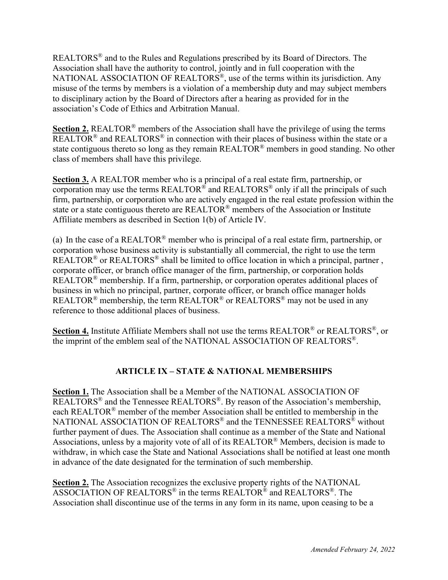REALTORS® and to the Rules and Regulations prescribed by its Board of Directors. The Association shall have the authority to control, jointly and in full cooperation with the NATIONAL ASSOCIATION OF REALTORS<sup>®</sup>, use of the terms within its jurisdiction. Any misuse of the terms by members is a violation of a membership duty and may subject members to disciplinary action by the Board of Directors after a hearing as provided for in the association's Code of Ethics and Arbitration Manual.

**Section 2.** REALTOR® members of the Association shall have the privilege of using the terms  $\overline{\text{REALTOR}}^{\textcircled{\tiny{\textregistered}}}$  and  $\text{REALTORS}^{\textcircled{\tiny{\textregistered}}}$  in connection with their places of business within the state or a state contiguous thereto so long as they remain REALTOR® members in good standing. No other class of members shall have this privilege.

**Section 3.** A REALTOR member who is a principal of a real estate firm, partnership, or corporation may use the terms REALTOR<sup>®</sup> and REALTORS<sup>®</sup> only if all the principals of such firm, partnership, or corporation who are actively engaged in the real estate profession within the state or a state contiguous thereto are REALTOR® members of the Association or Institute Affiliate members as described in Section 1(b) of Article IV.

(a) In the case of a REALTOR® member who is principal of a real estate firm, partnership, or corporation whose business activity is substantially all commercial, the right to use the term REALTOR<sup>®</sup> or REALTORS<sup>®</sup> shall be limited to office location in which a principal, partner, corporate officer, or branch office manager of the firm, partnership, or corporation holds REALTOR<sup>®</sup> membership. If a firm, partnership, or corporation operates additional places of business in which no principal, partner, corporate officer, or branch office manager holds REALTOR<sup>®</sup> membership, the term REALTOR<sup>®</sup> or REALTORS<sup>®</sup> may not be used in any reference to those additional places of business.

**Section 4.** Institute Affiliate Members shall not use the terms REALTOR® or REALTORS®, or the imprint of the emblem seal of the NATIONAL ASSOCIATION OF REALTORS®.

# **ARTICLE IX – STATE & NATIONAL MEMBERSHIPS**

**Section 1.** The Association shall be a Member of the NATIONAL ASSOCIATION OF REALTORS® and the Tennessee REALTORS®. By reason of the Association's membership, each REALTOR® member of the member Association shall be entitled to membership in the NATIONAL ASSOCIATION OF REALTORS<sup>®</sup> and the TENNESSEE REALTORS<sup>®</sup> without further payment of dues. The Association shall continue as a member of the State and National Associations, unless by a majority vote of all of its REALTOR® Members, decision is made to withdraw, in which case the State and National Associations shall be notified at least one month in advance of the date designated for the termination of such membership.

**Section 2.** The Association recognizes the exclusive property rights of the NATIONAL ASSOCIATION OF REALTORS® in the terms REALTOR® and REALTORS®. The Association shall discontinue use of the terms in any form in its name, upon ceasing to be a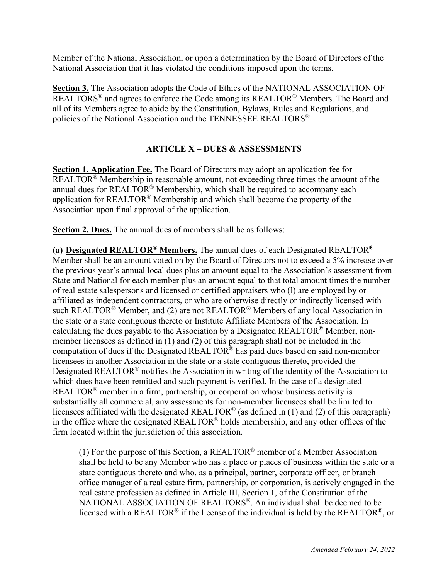Member of the National Association, or upon a determination by the Board of Directors of the National Association that it has violated the conditions imposed upon the terms.

**Section 3.** The Association adopts the Code of Ethics of the NATIONAL ASSOCIATION OF REALTORS $^{\circledR}$  and agrees to enforce the Code among its REALTOR $^{\circledR}$  Members. The Board and all of its Members agree to abide by the Constitution, Bylaws, Rules and Regulations, and policies of the National Association and the TENNESSEE REALTORS®.

## **ARTICLE X – DUES & ASSESSMENTS**

**Section 1. Application Fee.** The Board of Directors may adopt an application fee for REALTOR<sup>®</sup> Membership in reasonable amount, not exceeding three times the amount of the annual dues for REALTOR® Membership, which shall be required to accompany each application for REALTOR® Membership and which shall become the property of the Association upon final approval of the application.

**Section 2. Dues.** The annual dues of members shall be as follows:

**(a) Designated REALTOR® Members.** The annual dues of each Designated REALTOR® Member shall be an amount voted on by the Board of Directors not to exceed a 5% increase over the previous year's annual local dues plus an amount equal to the Association's assessment from State and National for each member plus an amount equal to that total amount times the number of real estate salespersons and licensed or certified appraisers who (l) are employed by or affiliated as independent contractors, or who are otherwise directly or indirectly licensed with such REALTOR<sup>®</sup> Member, and (2) are not REALTOR<sup>®</sup> Members of any local Association in the state or a state contiguous thereto or Institute Affiliate Members of the Association. In calculating the dues payable to the Association by a Designated REALTOR® Member, nonmember licensees as defined in (1) and (2) of this paragraph shall not be included in the computation of dues if the Designated REALTOR® has paid dues based on said non-member licensees in another Association in the state or a state contiguous thereto, provided the Designated REALTOR<sup>®</sup> notifies the Association in writing of the identity of the Association to which dues have been remitted and such payment is verified. In the case of a designated REALTOR<sup>®</sup> member in a firm, partnership, or corporation whose business activity is substantially all commercial, any assessments for non-member licensees shall be limited to licensees affiliated with the designated REALTOR<sup>®</sup> (as defined in (1) and (2) of this paragraph) in the office where the designated REALTOR® holds membership, and any other offices of the firm located within the jurisdiction of this association.

(1) For the purpose of this Section, a REALTOR<sup>®</sup> member of a Member Association shall be held to be any Member who has a place or places of business within the state or a state contiguous thereto and who, as a principal, partner, corporate officer, or branch office manager of a real estate firm, partnership, or corporation, is actively engaged in the real estate profession as defined in Article III, Section 1, of the Constitution of the NATIONAL ASSOCIATION OF REALTORS®. An individual shall be deemed to be licensed with a REALTOR<sup>®</sup> if the license of the individual is held by the REALTOR<sup>®</sup>, or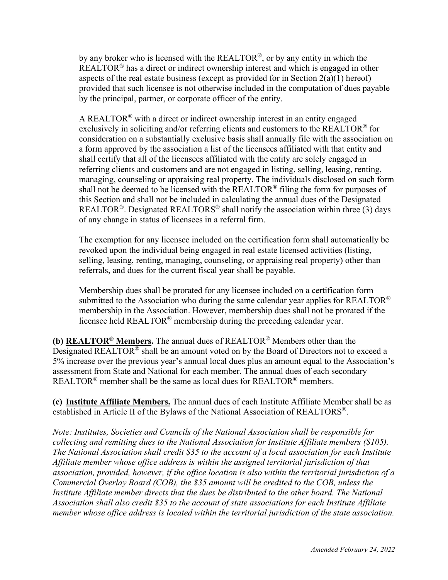by any broker who is licensed with the REALTOR®, or by any entity in which the REALTOR<sup>®</sup> has a direct or indirect ownership interest and which is engaged in other aspects of the real estate business (except as provided for in Section  $2(a)(1)$  hereof) provided that such licensee is not otherwise included in the computation of dues payable by the principal, partner, or corporate officer of the entity.

A REALTOR<sup>®</sup> with a direct or indirect ownership interest in an entity engaged exclusively in soliciting and/or referring clients and customers to the REALTOR<sup>®</sup> for consideration on a substantially exclusive basis shall annually file with the association on a form approved by the association a list of the licensees affiliated with that entity and shall certify that all of the licensees affiliated with the entity are solely engaged in referring clients and customers and are not engaged in listing, selling, leasing, renting, managing, counseling or appraising real property. The individuals disclosed on such form shall not be deemed to be licensed with the REALTOR® filing the form for purposes of this Section and shall not be included in calculating the annual dues of the Designated REALTOR<sup>®</sup>. Designated REALTORS<sup>®</sup> shall notify the association within three (3) days of any change in status of licensees in a referral firm.

The exemption for any licensee included on the certification form shall automatically be revoked upon the individual being engaged in real estate licensed activities (listing, selling, leasing, renting, managing, counseling, or appraising real property) other than referrals, and dues for the current fiscal year shall be payable.

Membership dues shall be prorated for any licensee included on a certification form submitted to the Association who during the same calendar year applies for REALTOR<sup>®</sup> membership in the Association. However, membership dues shall not be prorated if the licensee held REALTOR® membership during the preceding calendar year.

**(b) REALTOR® Members.** The annual dues of REALTOR® Members other than the Designated REALTOR® shall be an amount voted on by the Board of Directors not to exceed a 5% increase over the previous year's annual local dues plus an amount equal to the Association's assessment from State and National for each member. The annual dues of each secondary REALTOR<sup>®</sup> member shall be the same as local dues for REALTOR<sup>®</sup> members.

**(c) Institute Affiliate Members.** The annual dues of each Institute Affiliate Member shall be as established in Article II of the Bylaws of the National Association of REALTORS®.

*Note: Institutes, Societies and Councils of the National Association shall be responsible for collecting and remitting dues to the National Association for Institute Affiliate members (\$105). The National Association shall credit \$35 to the account of a local association for each Institute Affiliate member whose office address is within the assigned territorial jurisdiction of that association, provided, however, if the office location is also within the territorial jurisdiction of a Commercial Overlay Board (COB), the \$35 amount will be credited to the COB, unless the Institute Affiliate member directs that the dues be distributed to the other board. The National Association shall also credit \$35 to the account of state associations for each Institute Affiliate member whose office address is located within the territorial jurisdiction of the state association.*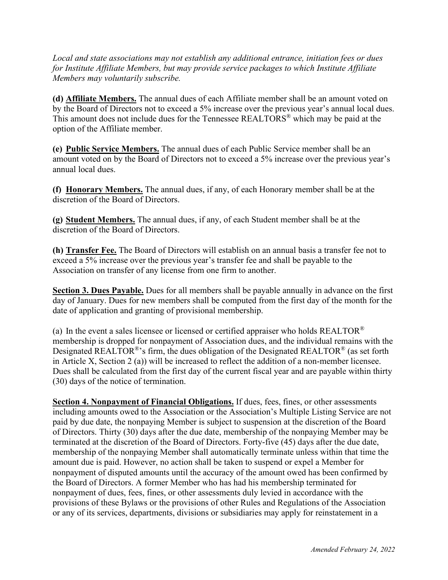*Local and state associations may not establish any additional entrance, initiation fees or dues for Institute Affiliate Members, but may provide service packages to which Institute Affiliate Members may voluntarily subscribe.* 

**(d) Affiliate Members.** The annual dues of each Affiliate member shall be an amount voted on by the Board of Directors not to exceed a 5% increase over the previous year's annual local dues. This amount does not include dues for the Tennessee REALTORS® which may be paid at the option of the Affiliate member.

**(e) Public Service Members.** The annual dues of each Public Service member shall be an amount voted on by the Board of Directors not to exceed a 5% increase over the previous year's annual local dues.

**(f) Honorary Members.** The annual dues, if any, of each Honorary member shall be at the discretion of the Board of Directors.

**(g) Student Members.** The annual dues, if any, of each Student member shall be at the discretion of the Board of Directors.

**(h) Transfer Fee.** The Board of Directors will establish on an annual basis a transfer fee not to exceed a 5% increase over the previous year's transfer fee and shall be payable to the Association on transfer of any license from one firm to another.

**Section 3. Dues Payable.** Dues for all members shall be payable annually in advance on the first day of January. Dues for new members shall be computed from the first day of the month for the date of application and granting of provisional membership.

(a) In the event a sales licensee or licensed or certified appraiser who holds  $REALTOR^{\circledast}$ membership is dropped for nonpayment of Association dues, and the individual remains with the Designated REALTOR<sup>®</sup>'s firm, the dues obligation of the Designated REALTOR<sup>®</sup> (as set forth in Article X, Section 2 (a)) will be increased to reflect the addition of a non-member licensee. Dues shall be calculated from the first day of the current fiscal year and are payable within thirty (30) days of the notice of termination.

**Section 4. Nonpayment of Financial Obligations.** If dues, fees, fines, or other assessments including amounts owed to the Association or the Association's Multiple Listing Service are not paid by due date, the nonpaying Member is subject to suspension at the discretion of the Board of Directors. Thirty (30) days after the due date, membership of the nonpaying Member may be terminated at the discretion of the Board of Directors. Forty-five (45) days after the due date, membership of the nonpaying Member shall automatically terminate unless within that time the amount due is paid. However, no action shall be taken to suspend or expel a Member for nonpayment of disputed amounts until the accuracy of the amount owed has been confirmed by the Board of Directors. A former Member who has had his membership terminated for nonpayment of dues, fees, fines, or other assessments duly levied in accordance with the provisions of these Bylaws or the provisions of other Rules and Regulations of the Association or any of its services, departments, divisions or subsidiaries may apply for reinstatement in a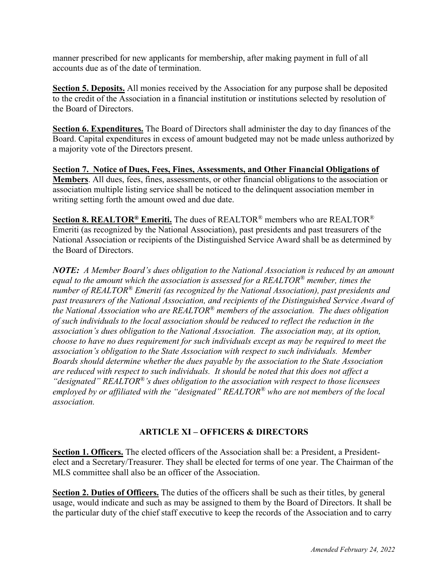manner prescribed for new applicants for membership, after making payment in full of all accounts due as of the date of termination.

**Section 5. Deposits.** All monies received by the Association for any purpose shall be deposited to the credit of the Association in a financial institution or institutions selected by resolution of the Board of Directors.

**Section 6. Expenditures.** The Board of Directors shall administer the day to day finances of the Board. Capital expenditures in excess of amount budgeted may not be made unless authorized by a majority vote of the Directors present.

**Section 7. Notice of Dues, Fees, Fines, Assessments, and Other Financial Obligations of Members**. All dues, fees, fines, assessments, or other financial obligations to the association or association multiple listing service shall be noticed to the delinquent association member in writing setting forth the amount owed and due date.

**Section 8. REALTOR® Emeriti.** The dues of REALTOR® members who are REALTOR® Emeriti (as recognized by the National Association), past presidents and past treasurers of the National Association or recipients of the Distinguished Service Award shall be as determined by the Board of Directors.

*NOTE: A Member Board's dues obligation to the National Association is reduced by an amount equal to the amount which the association is assessed for a REALTOR® member, times the number of REALTOR® Emeriti (as recognized by the National Association), past presidents and past treasurers of the National Association, and recipients of the Distinguished Service Award of the National Association who are REALTOR® members of the association. The dues obligation of such individuals to the local association should be reduced to reflect the reduction in the association's dues obligation to the National Association. The association may, at its option, choose to have no dues requirement for such individuals except as may be required to meet the association's obligation to the State Association with respect to such individuals. Member Boards should determine whether the dues payable by the association to the State Association are reduced with respect to such individuals. It should be noted that this does not affect a "designated" REALTOR®'s dues obligation to the association with respect to those licensees employed by or affiliated with the "designated" REALTOR® who are not members of the local association.* 

## **ARTICLE XI – OFFICERS & DIRECTORS**

Section 1. Officers. The elected officers of the Association shall be: a President, a Presidentelect and a Secretary/Treasurer. They shall be elected for terms of one year. The Chairman of the MLS committee shall also be an officer of the Association.

**Section 2. Duties of Officers.** The duties of the officers shall be such as their titles, by general usage, would indicate and such as may be assigned to them by the Board of Directors. It shall be the particular duty of the chief staff executive to keep the records of the Association and to carry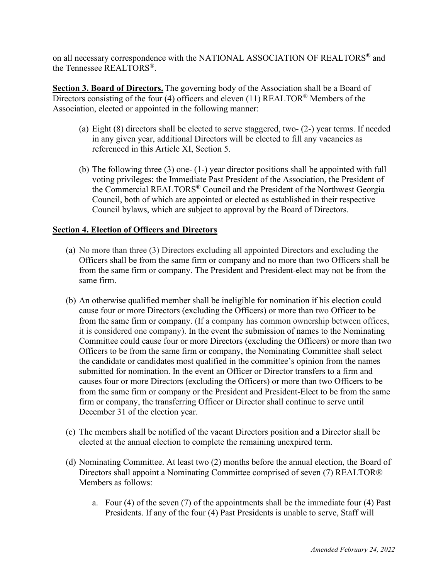on all necessary correspondence with the NATIONAL ASSOCIATION OF REALTORS® and the Tennessee REALTORS®.

**Section 3. Board of Directors.** The governing body of the Association shall be a Board of Directors consisting of the four (4) officers and eleven (11) REALTOR<sup>®</sup> Members of the Association, elected or appointed in the following manner:

- (a) Eight (8) directors shall be elected to serve staggered, two- (2-) year terms. If needed in any given year, additional Directors will be elected to fill any vacancies as referenced in this Article XI, Section 5.
- (b) The following three (3) one- (1-) year director positions shall be appointed with full voting privileges: the Immediate Past President of the Association, the President of the Commercial REALTORS® Council and the President of the Northwest Georgia Council, both of which are appointed or elected as established in their respective Council bylaws, which are subject to approval by the Board of Directors.

### **Section 4. Election of Officers and Directors**

- (a) No more than three (3) Directors excluding all appointed Directors and excluding the Officers shall be from the same firm or company and no more than two Officers shall be from the same firm or company. The President and President-elect may not be from the same firm.
- (b) An otherwise qualified member shall be ineligible for nomination if his election could cause four or more Directors (excluding the Officers) or more than two Officer to be from the same firm or company. (If a company has common ownership between offices, it is considered one company). In the event the submission of names to the Nominating Committee could cause four or more Directors (excluding the Officers) or more than two Officers to be from the same firm or company, the Nominating Committee shall select the candidate or candidates most qualified in the committee's opinion from the names submitted for nomination. In the event an Officer or Director transfers to a firm and causes four or more Directors (excluding the Officers) or more than two Officers to be from the same firm or company or the President and President-Elect to be from the same firm or company, the transferring Officer or Director shall continue to serve until December 31 of the election year.
- (c) The members shall be notified of the vacant Directors position and a Director shall be elected at the annual election to complete the remaining unexpired term.
- (d) Nominating Committee. At least two (2) months before the annual election, the Board of Directors shall appoint a Nominating Committee comprised of seven (7) REALTOR® Members as follows:
	- a. Four (4) of the seven (7) of the appointments shall be the immediate four (4) Past Presidents. If any of the four (4) Past Presidents is unable to serve, Staff will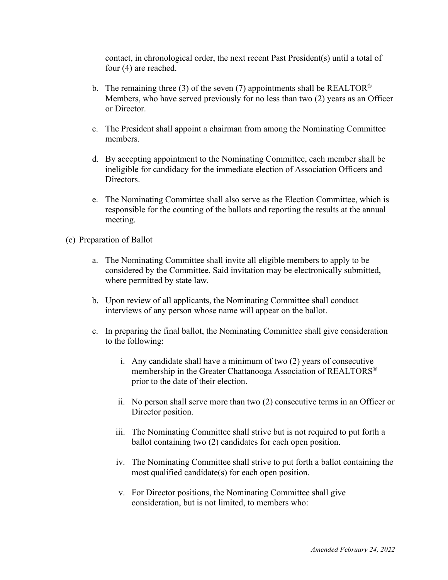contact, in chronological order, the next recent Past President(s) until a total of four (4) are reached.

- b. The remaining three (3) of the seven (7) appointments shall be REALTOR<sup>®</sup> Members, who have served previously for no less than two (2) years as an Officer or Director.
- c. The President shall appoint a chairman from among the Nominating Committee members.
- d. By accepting appointment to the Nominating Committee, each member shall be ineligible for candidacy for the immediate election of Association Officers and Directors.
- e. The Nominating Committee shall also serve as the Election Committee, which is responsible for the counting of the ballots and reporting the results at the annual meeting.
- (e) Preparation of Ballot
	- a. The Nominating Committee shall invite all eligible members to apply to be considered by the Committee. Said invitation may be electronically submitted, where permitted by state law.
	- b. Upon review of all applicants, the Nominating Committee shall conduct interviews of any person whose name will appear on the ballot.
	- c. In preparing the final ballot, the Nominating Committee shall give consideration to the following:
		- i. Any candidate shall have a minimum of two (2) years of consecutive membership in the Greater Chattanooga Association of REALTORS® prior to the date of their election.
		- ii. No person shall serve more than two (2) consecutive terms in an Officer or Director position.
		- iii. The Nominating Committee shall strive but is not required to put forth a ballot containing two (2) candidates for each open position.
		- iv. The Nominating Committee shall strive to put forth a ballot containing the most qualified candidate(s) for each open position.
		- v. For Director positions, the Nominating Committee shall give consideration, but is not limited, to members who: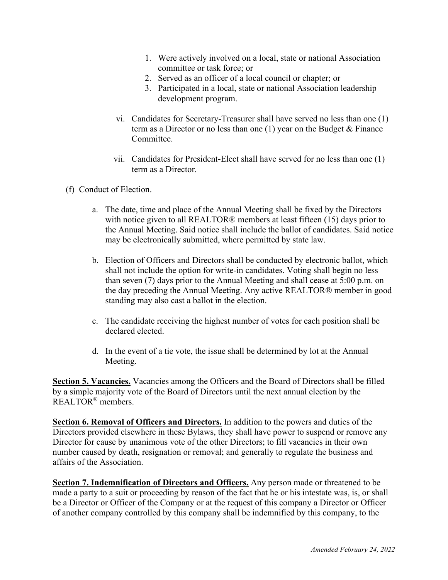- 1. Were actively involved on a local, state or national Association committee or task force; or
- 2. Served as an officer of a local council or chapter; or
- 3. Participated in a local, state or national Association leadership development program.
- vi. Candidates for Secretary-Treasurer shall have served no less than one (1) term as a Director or no less than one (1) year on the Budget & Finance Committee.
- vii. Candidates for President-Elect shall have served for no less than one (1) term as a Director.
- (f) Conduct of Election.
	- a. The date, time and place of the Annual Meeting shall be fixed by the Directors with notice given to all REALTOR® members at least fifteen (15) days prior to the Annual Meeting. Said notice shall include the ballot of candidates. Said notice may be electronically submitted, where permitted by state law.
	- b. Election of Officers and Directors shall be conducted by electronic ballot, which shall not include the option for write-in candidates. Voting shall begin no less than seven (7) days prior to the Annual Meeting and shall cease at 5:00 p.m. on the day preceding the Annual Meeting. Any active REALTOR® member in good standing may also cast a ballot in the election.
	- c. The candidate receiving the highest number of votes for each position shall be declared elected.
	- d. In the event of a tie vote, the issue shall be determined by lot at the Annual Meeting.

**Section 5. Vacancies.** Vacancies among the Officers and the Board of Directors shall be filled by a simple majority vote of the Board of Directors until the next annual election by the REALTOR® members.

**Section 6. Removal of Officers and Directors.** In addition to the powers and duties of the Directors provided elsewhere in these Bylaws, they shall have power to suspend or remove any Director for cause by unanimous vote of the other Directors; to fill vacancies in their own number caused by death, resignation or removal; and generally to regulate the business and affairs of the Association.

**Section 7. Indemnification of Directors and Officers.** Any person made or threatened to be made a party to a suit or proceeding by reason of the fact that he or his intestate was, is, or shall be a Director or Officer of the Company or at the request of this company a Director or Officer of another company controlled by this company shall be indemnified by this company, to the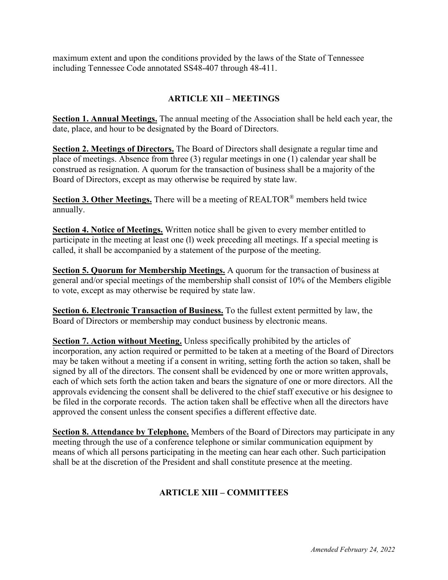maximum extent and upon the conditions provided by the laws of the State of Tennessee including Tennessee Code annotated SS48-407 through 48-411.

# **ARTICLE XII – MEETINGS**

**Section 1. Annual Meetings.** The annual meeting of the Association shall be held each year, the date, place, and hour to be designated by the Board of Directors.

**Section 2. Meetings of Directors.** The Board of Directors shall designate a regular time and place of meetings. Absence from three (3) regular meetings in one (1) calendar year shall be construed as resignation. A quorum for the transaction of business shall be a majority of the Board of Directors, except as may otherwise be required by state law.

**Section 3. Other Meetings.** There will be a meeting of REALTOR® members held twice annually.

**Section 4. Notice of Meetings.** Written notice shall be given to every member entitled to participate in the meeting at least one (l) week preceding all meetings. If a special meeting is called, it shall be accompanied by a statement of the purpose of the meeting.

**Section 5. Quorum for Membership Meetings.** A quorum for the transaction of business at general and/or special meetings of the membership shall consist of 10% of the Members eligible to vote, except as may otherwise be required by state law.

**Section 6. Electronic Transaction of Business.** To the fullest extent permitted by law, the Board of Directors or membership may conduct business by electronic means.

**Section 7. Action without Meeting.** Unless specifically prohibited by the articles of incorporation, any action required or permitted to be taken at a meeting of the Board of Directors may be taken without a meeting if a consent in writing, setting forth the action so taken, shall be signed by all of the directors. The consent shall be evidenced by one or more written approvals, each of which sets forth the action taken and bears the signature of one or more directors. All the approvals evidencing the consent shall be delivered to the chief staff executive or his designee to be filed in the corporate records. The action taken shall be effective when all the directors have approved the consent unless the consent specifies a different effective date.

**Section 8. Attendance by Telephone.** Members of the Board of Directors may participate in any meeting through the use of a conference telephone or similar communication equipment by means of which all persons participating in the meeting can hear each other. Such participation shall be at the discretion of the President and shall constitute presence at the meeting.

# **ARTICLE XIII – COMMITTEES**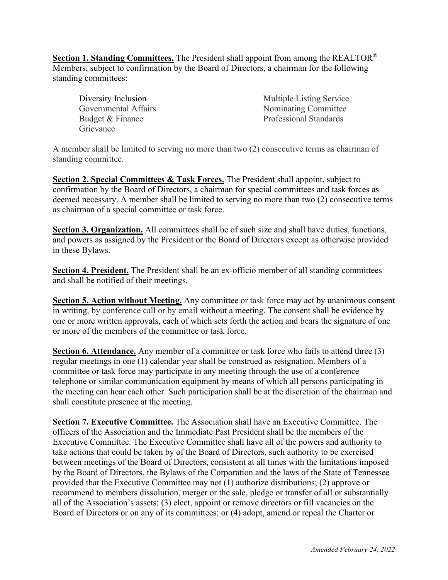**Section 1. Standing Committees.** The President shall appoint from among the REALTOR® Members, subject to confirmation by the Board of Directors, a chairman for the following standing committees:

Diversity Inclusion Governmental Affairs Budget & Finance Grievance

Multiple Listing Service Nominating Committee Professional Standards

A member shall be limited to serving no more than two (2) consecutive terms as chairman of standing committee.

**Section 2. Special Committees & Task Forces.** The President shall appoint, subject to confirmation by the Board of Directors, a chairman for special committees and task forces as deemed necessary. A member shall be limited to serving no more than two (2) consecutive terms as chairman of a special committee or task force.

**Section 3. Organization.** All committees shall be of such size and shall have duties, functions, and powers as assigned by the President or the Board of Directors except as otherwise provided in these Bylaws.

**Section 4. President.** The President shall be an ex-officio member of all standing committees and shall be notified of their meetings.

**Section 5. Action without Meeting.** Any committee or task force may act by unanimous consent in writing, by conference call or by email without a meeting. The consent shall be evidence by one or more written approvals, each of which sets forth the action and bears the signature of one or more of the members of the committee or task force.

**Section 6. Attendance.** Any member of a committee or task force who fails to attend three (3) regular meetings in one (1) calendar year shall be construed as resignation. Members of a committee or task force may participate in any meeting through the use of a conference telephone or similar communication equipment by means of which all persons participating in the meeting can hear each other. Such participation shall be at the discretion of the chairman and shall constitute presence at the meeting.

**Section 7. Executive Committee.** The Association shall have an Executive Committee. The officers of the Association and the Immediate Past President shall be the members of the Executive Committee. The Executive Committee shall have all of the powers and authority to take actions that could be taken by of the Board of Directors, such authority to be exercised between meetings of the Board of Directors, consistent at all times with the limitations imposed by the Board of Directors, the Bylaws of the Corporation and the laws of the State of Tennessee provided that the Executive Committee may not (1) authorize distributions; (2) approve or recommend to members dissolution, merger or the sale, pledge or transfer of all or substantially all of the Association's assets; (3) elect, appoint or remove directors or fill vacancies on the Board of Directors or on any of its committees; or (4) adopt, amend or repeal the Charter or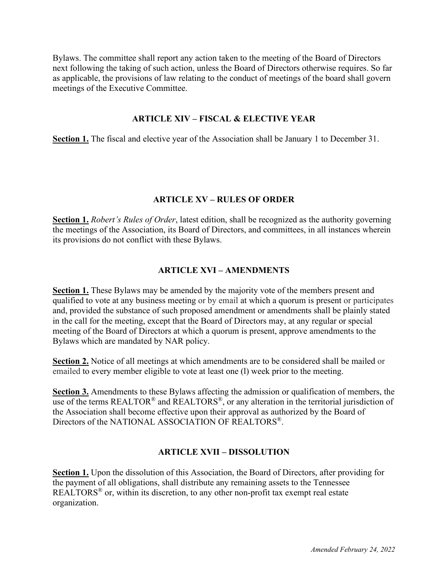Bylaws. The committee shall report any action taken to the meeting of the Board of Directors next following the taking of such action, unless the Board of Directors otherwise requires. So far as applicable, the provisions of law relating to the conduct of meetings of the board shall govern meetings of the Executive Committee.

### **ARTICLE XIV – FISCAL & ELECTIVE YEAR**

**Section 1.** The fiscal and elective year of the Association shall be January 1 to December 31.

### **ARTICLE XV – RULES OF ORDER**

**Section 1.** *Robert's Rules of Order*, latest edition, shall be recognized as the authority governing the meetings of the Association, its Board of Directors, and committees, in all instances wherein its provisions do not conflict with these Bylaws.

#### **ARTICLE XVI – AMENDMENTS**

**Section 1.** These Bylaws may be amended by the majority vote of the members present and qualified to vote at any business meeting or by email at which a quorum is present or participates and, provided the substance of such proposed amendment or amendments shall be plainly stated in the call for the meeting, except that the Board of Directors may, at any regular or special meeting of the Board of Directors at which a quorum is present, approve amendments to the Bylaws which are mandated by NAR policy.

**Section 2.** Notice of all meetings at which amendments are to be considered shall be mailed or emailed to every member eligible to vote at least one (l) week prior to the meeting.

**Section 3.** Amendments to these Bylaws affecting the admission or qualification of members, the use of the terms REALTOR<sup>®</sup> and REALTORS<sup>®</sup>, or any alteration in the territorial jurisdiction of the Association shall become effective upon their approval as authorized by the Board of Directors of the NATIONAL ASSOCIATION OF REALTORS®.

### **ARTICLE XVII – DISSOLUTION**

**Section 1.** Upon the dissolution of this Association, the Board of Directors, after providing for the payment of all obligations, shall distribute any remaining assets to the Tennessee REALTORS® or, within its discretion, to any other non-profit tax exempt real estate organization.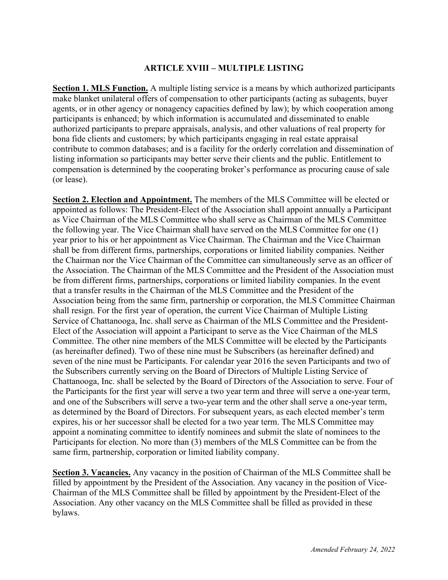## **ARTICLE XVIII – MULTIPLE LISTING**

**Section 1. MLS Function.** A multiple listing service is a means by which authorized participants make blanket unilateral offers of compensation to other participants (acting as subagents, buyer agents, or in other agency or nonagency capacities defined by law); by which cooperation among participants is enhanced; by which information is accumulated and disseminated to enable authorized participants to prepare appraisals, analysis, and other valuations of real property for bona fide clients and customers; by which participants engaging in real estate appraisal contribute to common databases; and is a facility for the orderly correlation and dissemination of listing information so participants may better serve their clients and the public. Entitlement to compensation is determined by the cooperating broker's performance as procuring cause of sale (or lease).

**Section 2. Election and Appointment.** The members of the MLS Committee will be elected or appointed as follows: The President-Elect of the Association shall appoint annually a Participant as Vice Chairman of the MLS Committee who shall serve as Chairman of the MLS Committee the following year. The Vice Chairman shall have served on the MLS Committee for one (1) year prior to his or her appointment as Vice Chairman. The Chairman and the Vice Chairman shall be from different firms, partnerships, corporations or limited liability companies. Neither the Chairman nor the Vice Chairman of the Committee can simultaneously serve as an officer of the Association. The Chairman of the MLS Committee and the President of the Association must be from different firms, partnerships, corporations or limited liability companies. In the event that a transfer results in the Chairman of the MLS Committee and the President of the Association being from the same firm, partnership or corporation, the MLS Committee Chairman shall resign. For the first year of operation, the current Vice Chairman of Multiple Listing Service of Chattanooga, Inc. shall serve as Chairman of the MLS Committee and the President-Elect of the Association will appoint a Participant to serve as the Vice Chairman of the MLS Committee. The other nine members of the MLS Committee will be elected by the Participants (as hereinafter defined). Two of these nine must be Subscribers (as hereinafter defined) and seven of the nine must be Participants. For calendar year 2016 the seven Participants and two of the Subscribers currently serving on the Board of Directors of Multiple Listing Service of Chattanooga, Inc. shall be selected by the Board of Directors of the Association to serve. Four of the Participants for the first year will serve a two year term and three will serve a one-year term, and one of the Subscribers will serve a two-year term and the other shall serve a one-year term, as determined by the Board of Directors. For subsequent years, as each elected member's term expires, his or her successor shall be elected for a two year term. The MLS Committee may appoint a nominating committee to identify nominees and submit the slate of nominees to the Participants for election. No more than (3) members of the MLS Committee can be from the same firm, partnership, corporation or limited liability company.

**Section 3. Vacancies.** Any vacancy in the position of Chairman of the MLS Committee shall be filled by appointment by the President of the Association. Any vacancy in the position of Vice-Chairman of the MLS Committee shall be filled by appointment by the President-Elect of the Association. Any other vacancy on the MLS Committee shall be filled as provided in these bylaws.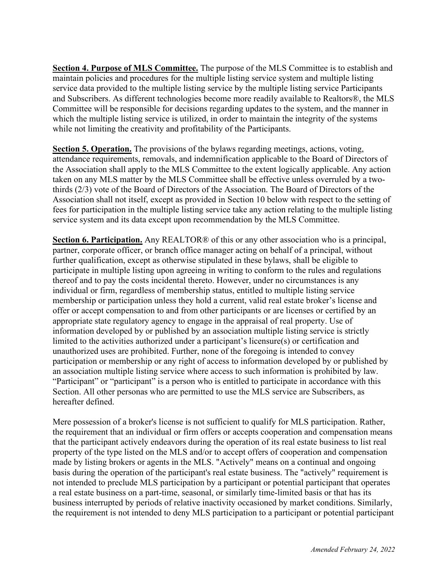**Section 4. Purpose of MLS Committee.** The purpose of the MLS Committee is to establish and maintain policies and procedures for the multiple listing service system and multiple listing service data provided to the multiple listing service by the multiple listing service Participants and Subscribers. As different technologies become more readily available to Realtors®, the MLS Committee will be responsible for decisions regarding updates to the system, and the manner in which the multiple listing service is utilized, in order to maintain the integrity of the systems while not limiting the creativity and profitability of the Participants.

**Section 5. Operation.** The provisions of the bylaws regarding meetings, actions, voting, attendance requirements, removals, and indemnification applicable to the Board of Directors of the Association shall apply to the MLS Committee to the extent logically applicable. Any action taken on any MLS matter by the MLS Committee shall be effective unless overruled by a twothirds (2/3) vote of the Board of Directors of the Association. The Board of Directors of the Association shall not itself, except as provided in Section 10 below with respect to the setting of fees for participation in the multiple listing service take any action relating to the multiple listing service system and its data except upon recommendation by the MLS Committee.

**Section 6. Participation.** Any REALTOR® of this or any other association who is a principal, partner, corporate officer, or branch office manager acting on behalf of a principal, without further qualification, except as otherwise stipulated in these bylaws, shall be eligible to participate in multiple listing upon agreeing in writing to conform to the rules and regulations thereof and to pay the costs incidental thereto. However, under no circumstances is any individual or firm, regardless of membership status, entitled to multiple listing service membership or participation unless they hold a current, valid real estate broker's license and offer or accept compensation to and from other participants or are licenses or certified by an appropriate state regulatory agency to engage in the appraisal of real property. Use of information developed by or published by an association multiple listing service is strictly limited to the activities authorized under a participant's licensure(s) or certification and unauthorized uses are prohibited. Further, none of the foregoing is intended to convey participation or membership or any right of access to information developed by or published by an association multiple listing service where access to such information is prohibited by law. "Participant" or "participant" is a person who is entitled to participate in accordance with this Section. All other personas who are permitted to use the MLS service are Subscribers, as hereafter defined.

Mere possession of a broker's license is not sufficient to qualify for MLS participation. Rather, the requirement that an individual or firm offers or accepts cooperation and compensation means that the participant actively endeavors during the operation of its real estate business to list real property of the type listed on the MLS and/or to accept offers of cooperation and compensation made by listing brokers or agents in the MLS. "Actively" means on a continual and ongoing basis during the operation of the participant's real estate business. The "actively" requirement is not intended to preclude MLS participation by a participant or potential participant that operates a real estate business on a part-time, seasonal, or similarly time-limited basis or that has its business interrupted by periods of relative inactivity occasioned by market conditions. Similarly, the requirement is not intended to deny MLS participation to a participant or potential participant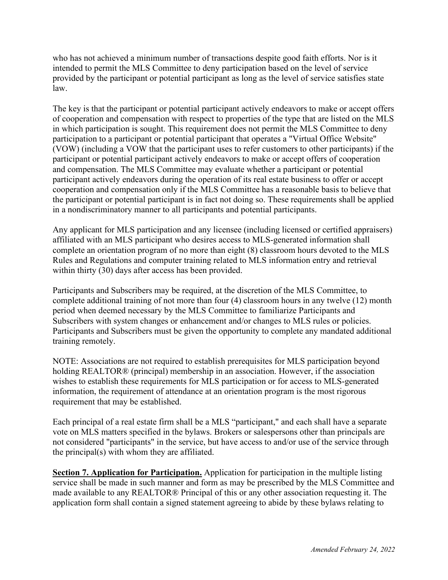who has not achieved a minimum number of transactions despite good faith efforts. Nor is it intended to permit the MLS Committee to deny participation based on the level of service provided by the participant or potential participant as long as the level of service satisfies state law.

The key is that the participant or potential participant actively endeavors to make or accept offers of cooperation and compensation with respect to properties of the type that are listed on the MLS in which participation is sought. This requirement does not permit the MLS Committee to deny participation to a participant or potential participant that operates a "Virtual Office Website" (VOW) (including a VOW that the participant uses to refer customers to other participants) if the participant or potential participant actively endeavors to make or accept offers of cooperation and compensation. The MLS Committee may evaluate whether a participant or potential participant actively endeavors during the operation of its real estate business to offer or accept cooperation and compensation only if the MLS Committee has a reasonable basis to believe that the participant or potential participant is in fact not doing so. These requirements shall be applied in a nondiscriminatory manner to all participants and potential participants.

Any applicant for MLS participation and any licensee (including licensed or certified appraisers) affiliated with an MLS participant who desires access to MLS-generated information shall complete an orientation program of no more than eight (8) classroom hours devoted to the MLS Rules and Regulations and computer training related to MLS information entry and retrieval within thirty (30) days after access has been provided.

Participants and Subscribers may be required, at the discretion of the MLS Committee, to complete additional training of not more than four (4) classroom hours in any twelve (12) month period when deemed necessary by the MLS Committee to familiarize Participants and Subscribers with system changes or enhancement and/or changes to MLS rules or policies. Participants and Subscribers must be given the opportunity to complete any mandated additional training remotely.

NOTE: Associations are not required to establish prerequisites for MLS participation beyond holding REALTOR® (principal) membership in an association. However, if the association wishes to establish these requirements for MLS participation or for access to MLS-generated information, the requirement of attendance at an orientation program is the most rigorous requirement that may be established.

Each principal of a real estate firm shall be a MLS "participant," and each shall have a separate vote on MLS matters specified in the bylaws. Brokers or salespersons other than principals are not considered "participants" in the service, but have access to and/or use of the service through the principal(s) with whom they are affiliated.

**Section 7. Application for Participation.** Application for participation in the multiple listing service shall be made in such manner and form as may be prescribed by the MLS Committee and made available to any REALTOR® Principal of this or any other association requesting it. The application form shall contain a signed statement agreeing to abide by these bylaws relating to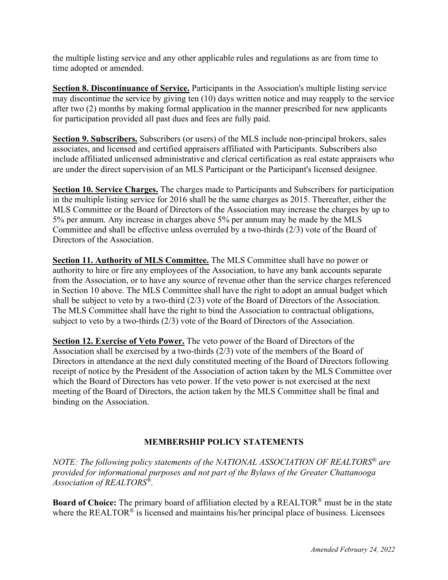the multiple listing service and any other applicable rules and regulations as are from time to time adopted or amended.

**Section 8. Discontinuance of Service.** Participants in the Association's multiple listing service may discontinue the service by giving ten (10) days written notice and may reapply to the service after two (2) months by making formal application in the manner prescribed for new applicants for participation provided all past dues and fees are fully paid.

**Section 9. Subscribers.** Subscribers (or users) of the MLS include non-principal brokers, sales associates, and licensed and certified appraisers affiliated with Participants. Subscribers also include affiliated unlicensed administrative and clerical certification as real estate appraisers who are under the direct supervision of an MLS Participant or the Participant's licensed designee.

**Section 10. Service Charges.** The charges made to Participants and Subscribers for participation in the multiple listing service for 2016 shall be the same charges as 2015. Thereafter, either the MLS Committee or the Board of Directors of the Association may increase the charges by up to 5% per annum. Any increase in charges above 5% per annum may be made by the MLS Committee and shall be effective unless overruled by a two-thirds (2/3) vote of the Board of Directors of the Association.

**Section 11. Authority of MLS Committee.** The MLS Committee shall have no power or authority to hire or fire any employees of the Association, to have any bank accounts separate from the Association, or to have any source of revenue other than the service charges referenced in Section 10 above. The MLS Committee shall have the right to adopt an annual budget which shall be subject to veto by a two-third (2/3) vote of the Board of Directors of the Association. The MLS Committee shall have the right to bind the Association to contractual obligations, subject to veto by a two-thirds (2/3) vote of the Board of Directors of the Association.

**Section 12. Exercise of Veto Power.** The veto power of the Board of Directors of the Association shall be exercised by a two-thirds (2/3) vote of the members of the Board of Directors in attendance at the next duly constituted meeting of the Board of Directors following receipt of notice by the President of the Association of action taken by the MLS Committee over which the Board of Directors has veto power. If the veto power is not exercised at the next meeting of the Board of Directors, the action taken by the MLS Committee shall be final and binding on the Association.

# **MEMBERSHIP POLICY STATEMENTS**

*NOTE: The following policy statements of the NATIONAL ASSOCIATION OF REALTORS® are provided for informational purposes and not part of the Bylaws of the Greater Chattanooga Association of REALTORS®.* 

**Board of Choice:** The primary board of affiliation elected by a REALTOR® must be in the state where the REALTOR<sup>®</sup> is licensed and maintains his/her principal place of business. Licensees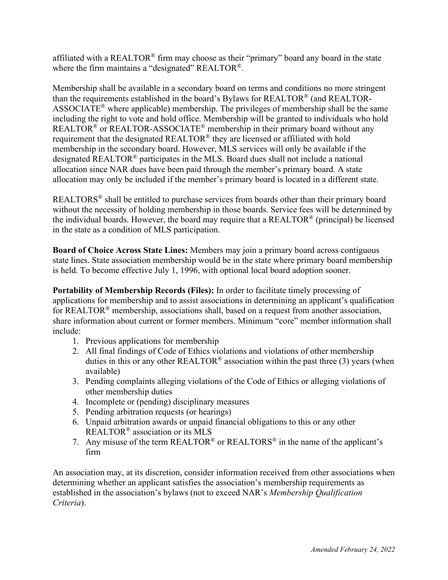affiliated with a REALTOR® firm may choose as their "primary" board any board in the state where the firm maintains a "designated" REALTOR<sup>®</sup>.

Membership shall be available in a secondary board on terms and conditions no more stringent than the requirements established in the board's Bylaws for REALTOR® (and REALTOR-ASSOCIATE® where applicable) membership. The privileges of membership shall be the same including the right to vote and hold office. Membership will be granted to individuals who hold REALTOR<sup>®</sup> or REALTOR-ASSOCIATE<sup>®</sup> membership in their primary board without any requirement that the designated REALTOR® they are licensed or affiliated with hold membership in the secondary board. However, MLS services will only be available if the designated REALTOR® participates in the MLS. Board dues shall not include a national allocation since NAR dues have been paid through the member's primary board. A state allocation may only be included if the member's primary board is located in a different state.

REALTORS® shall be entitled to purchase services from boards other than their primary board without the necessity of holding membership in those boards. Service fees will be determined by the individual boards. However, the board may require that a REALTOR<sup>®</sup> (principal) be licensed in the state as a condition of MLS participation.

**Board of Choice Across State Lines:** Members may join a primary board across contiguous state lines. State association membership would be in the state where primary board membership is held. To become effective July 1, 1996, with optional local board adoption sooner.

**Portability of Membership Records (Files):** In order to facilitate timely processing of applications for membership and to assist associations in determining an applicant's qualification for REALTOR® membership, associations shall, based on a request from another association, share information about current or former members. Minimum "core" member information shall include:

- 1. Previous applications for membership
- 2. All final findings of Code of Ethics violations and violations of other membership duties in this or any other REALTOR<sup>®</sup> association within the past three (3) years (when available)
- 3. Pending complaints alleging violations of the Code of Ethics or alleging violations of other membership duties
- 4. Incomplete or (pending) disciplinary measures
- 5. Pending arbitration requests (or hearings)
- 6. Unpaid arbitration awards or unpaid financial obligations to this or any other REALTOR® association or its MLS
- 7. Any misuse of the term  $REALTOR^{\circledR}$  or  $REALTOR^{\circledR}$  in the name of the applicant's firm

An association may, at its discretion, consider information received from other associations when determining whether an applicant satisfies the association's membership requirements as established in the association's bylaws (not to exceed NAR's *Membership Qualification Criteria*).